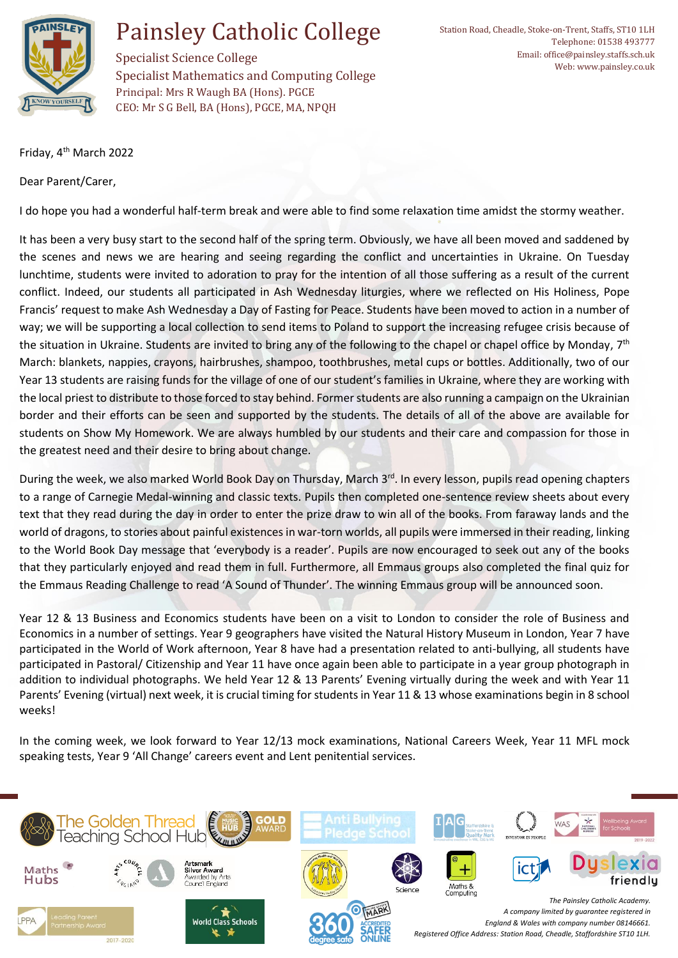

## Painsley Catholic College

Specialist Science College Specialist Mathematics and Computing College Principal: Mrs R Waugh BA (Hons). PGCE CEO: Mr S G Bell, BA (Hons), PGCE, MA, NPQH

Friday, 4th March 2022

Dear Parent/Carer,

I do hope you had a wonderful half-term break and were able to find some relaxation time amidst the stormy weather.

It has been a very busy start to the second half of the spring term. Obviously, we have all been moved and saddened by the scenes and news we are hearing and seeing regarding the conflict and uncertainties in Ukraine. On Tuesday lunchtime, students were invited to adoration to pray for the intention of all those suffering as a result of the current conflict. Indeed, our students all participated in Ash Wednesday liturgies, where we reflected on His Holiness, Pope Francis' request to make Ash Wednesday a Day of Fasting for Peace. Students have been moved to action in a number of way; we will be supporting a local collection to send items to Poland to support the increasing refugee crisis because of the situation in Ukraine. Students are invited to bring any of the following to the chapel or chapel office by Monday, 7<sup>th</sup> March: blankets, nappies, crayons, hairbrushes, shampoo, toothbrushes, metal cups or bottles. Additionally, two of our Year 13 students are raising funds for the village of one of our student's families in Ukraine, where they are working with the local priest to distribute to those forced to stay behind. Former students are also running a campaign on the Ukrainian border and their efforts can be seen and supported by the students. The details of all of the above are available for students on Show My Homework. We are always humbled by our students and their care and compassion for those in the greatest need and their desire to bring about change.

During the week, we also marked World Book Day on Thursday, March 3<sup>rd</sup>. In every lesson, pupils read opening chapters to a range of Carnegie Medal-winning and classic texts. Pupils then completed one-sentence review sheets about every text that they read during the day in order to enter the prize draw to win all of the books. From faraway lands and the world of dragons, to stories about painful existences in war-torn worlds, all pupils were immersed in their reading, linking to the World Book Day message that 'everybody is a reader'. Pupils are now encouraged to seek out any of the books that they particularly enjoyed and read them in full. Furthermore, all Emmaus groups also completed the final quiz for the Emmaus Reading Challenge to read 'A Sound of Thunder'. The winning Emmaus group will be announced soon.

Year 12 & 13 Business and Economics students have been on a visit to London to consider the role of Business and Economics in a number of settings. Year 9 geographers have visited the Natural History Museum in London, Year 7 have participated in the World of Work afternoon, Year 8 have had a presentation related to anti-bullying, all students have participated in Pastoral/ Citizenship and Year 11 have once again been able to participate in a year group photograph in addition to individual photographs. We held Year 12 & 13 Parents' Evening virtually during the week and with Year 11 Parents' Evening (virtual) next week, it is crucial timing for students in Year 11 & 13 whose examinations begin in 8 school weeks!

In the coming week, we look forward to Year 12/13 mock examinations, National Careers Week, Year 11 MFL mock speaking tests, Year 9 'All Change' careers event and Lent penitential services.